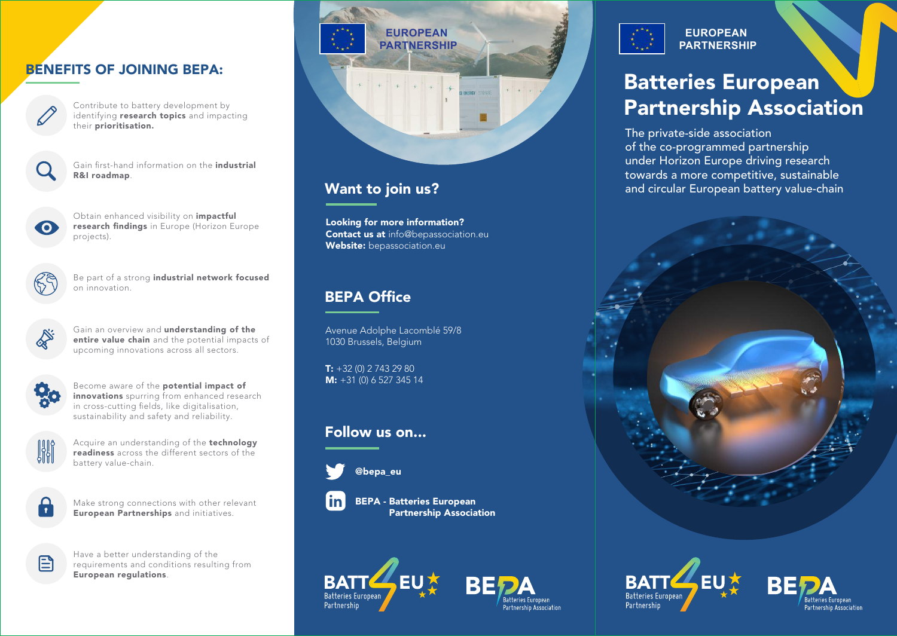# BENEFITS OF JOINING BEPA:



Contribute to battery development by identifying **research topics** and impacting their prioritisation.

Gain first-hand information on the industrial R&I roadmap.



Obtain enhanced visibility on *impactful* research findings in Europe (Horizon Europe projects).



Be part of a strong industrial network focused on innovation.



Gain an overview and understanding of the entire value chain and the potential impacts of upcoming innovations across all sectors.



Become aware of the potential impact of innovations spurring from enhanced research in cross-cutting fields, like digitalisation, sustainability and safety and reliability.



Acquire an understanding of the **technology** readiness across the different sectors of the battery value-chain.



Make strong connections with other relevant European Partnerships and initiatives.



Have a better understanding of the requirements and conditions resulting from European regulations.



Looking for more information? **Contact us at info@bepassociation.eu** Website: bepassociation.eu

# BEPA Office

Avenue Adolphe Lacomblé 59/8 1030 Brussels, Belgium

 $T: +32(0)$  2 743 29 80 M: +31 (0) 6 527 345 14

# Follow us on...



@bepa\_eu



BEPA - Batteries European Partnership Association





**EUROPEAN PARTNERSHIP**

# Batteries European Partnership Association

The private-side association of the co-programmed partnership under Horizon Europe driving research towards a more competitive, sustainable Want to join us? **All and circular European battery value-chain**